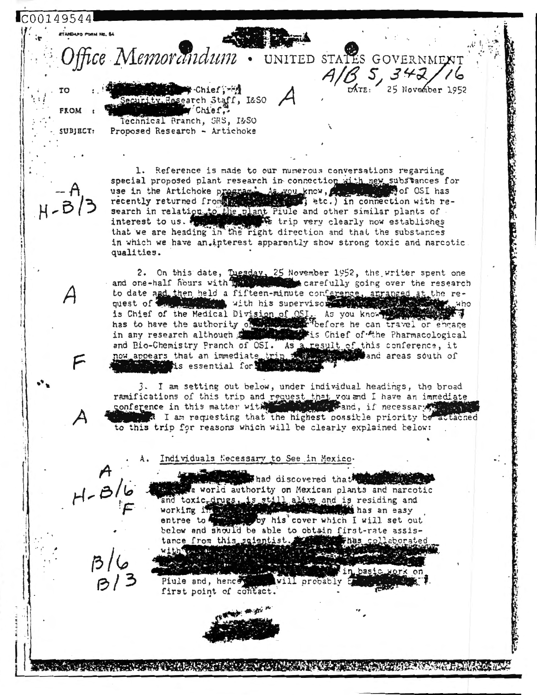

1. Reference is made to our numerous conversations regarding special proposed plant research in connection with new substances for use in the Artichoke program As you know, a property of OSI has recently returned from the set of the set of the connection with research in relation, to the plant Piule and other similar plants of<br>interest to us. Which is trip very clearly now establishes<br>that we are heading in the right direction and that the substances in which we have an,interest apparently show strong toxic and narcotic. qualities.

2. On this date, Tuesday, 25 November 1952, the writer spent one and one-half fiburs with interesting a carefully going over the research to date and then held a fifteen-minute conference, arranged at the request of the Million with his supervisor that the state is Chief of the Medical Division of OSI. As you know the has to have the authority of the series of the Pharmacological in any research although the series of the Pharmacological and Bio-Chemistry Pranch of OSI. As a result of this conference, it now appears that an immediate trip is a search and areas south of is essential forse

3. I am setting out below, under individual headings, the broad ramifications of this trip and request that you and I have an immediate conference in this matter with the state of and, if necessary, I am requesting that the highest possible priority be attached to this trip for reasons which will be clearly explained below:

Individuals Necessary to See in Mexico-

Thad discovered that state a world authority on Mexican plants and narcotic and toxic-drugs, is still alive and is residing and working in the season **North American** has an easy by his cover which I will set out entree to the below and should be able to obtain first-rate assis-Thas collaborated tance from this scientist. **William**  $1.1 - 1.1$ 

Piule and, hence will probably first point of contact.

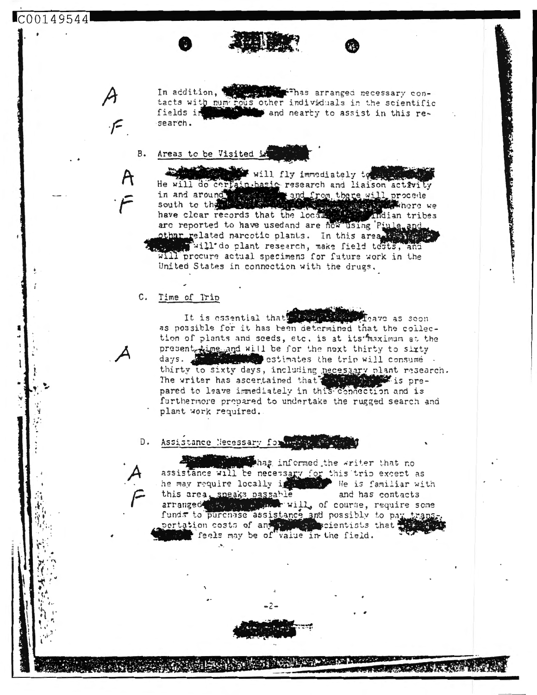## C00149544

In addition, which we has arranged necessary con-<br>tacts with numerous other individuals in the scientific<br>fields in this refields in and nearty to assist in this research.

## **B.** Areas to be Visited in

will fly immediately to He will do certain basic research and liaison activity<br>in and around south to the certain and from there will procede<br>have clear records that the local and indian tribe **Einere** we have clear records that the locals Andian tribes are reported to have usedand are now using Piule and other related narcotic plants. In this area that will do plant research, make field tests, and United States in connection with the drugs.

## C. Time of Trip

It is essential that we will the **Algave as soon** as possible for it has been determined that the coilection of plants and seeds, etc. is at its maximum at the present time and will be for the next thirty to sixty<br>days. thirty to sixty days, including necessary plant research. The writer has ascertained that with the is prepared to leave immediately in this connection and is furthermore propared to undertake the rugged search and plant work required.

D. Assistance Necessary for which says

that has informed the writer that no assistance will be necessary for this trip except as he may require locally in the He is familiar with this area, speaks passable and has contacts arranged it, will, of course, require some funds to purchase assistance and possibly to pay trans portation costs of any properties that feels may be of value in the field.

**Report Follows** (Mary 1988)

コーク みんかぶつ あてがま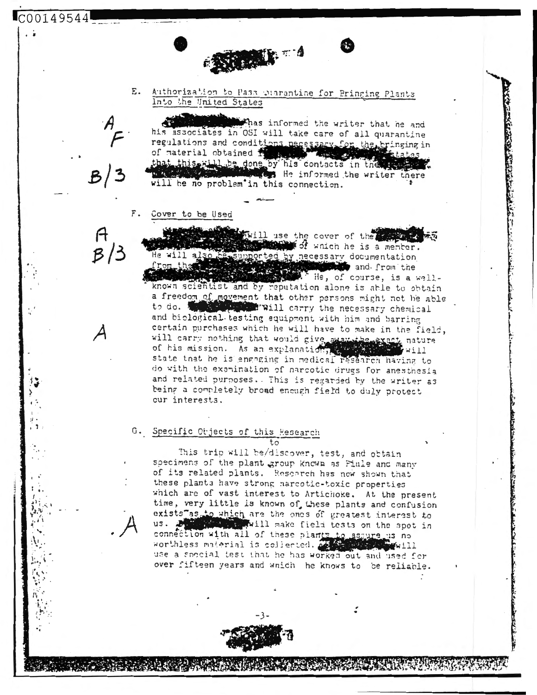Ε. Authorization to Pass Quarantine for Bringing Plants Into the United States

Reading the read

Thas informed the writer that he and his associates in OSI will take care of all quarantine regulations and conditions necessary for the bringing in<br>of material obtained in the states that this will be done by his contacts in the ass tes He informed the writer there will be no problem'in this connection.

Cover to be Used

 $C00149544$ 

Will use the cover of the of which he is a member. supported by necessary documentation and from the . He, of course, is a wellknown scientist and by reputation along is able to obtain a freedom of movement that other persons might not be able to do. will carry the necessary chemical and biological testing equipment with him and barring certain purchases which he will have to make in the field, will carry nothing that would give away the exact nature<br>of his mission. As an explanation, which will state that he is engaging in medical research having to do with the examination of narcotic drugs for anesthesia and related purposes. This is regarded by the writer as being a completely broad enough field to duly protect cur interests.

G. Specific Objects of this Research

This trip will be/discover, test, and obtain specimens of the plant group known as Piule and many of its related plants. Research has new shown that these plants have strong narcotic-toxic properties which are of vast interest to Artichoke. At the present time, very little is known of these plants and confusion exists as to which are the ones of greatest interest to will make field tests on the spot in  $us.$ connection with all of these plants to assure us no worthless material is collected. A  $W$ w $111$ use a special test that he has worked out and used for over fifteen years and which he knows to be reliable.

 $t.c$ 



A MARIO CONTRA CONTRACTO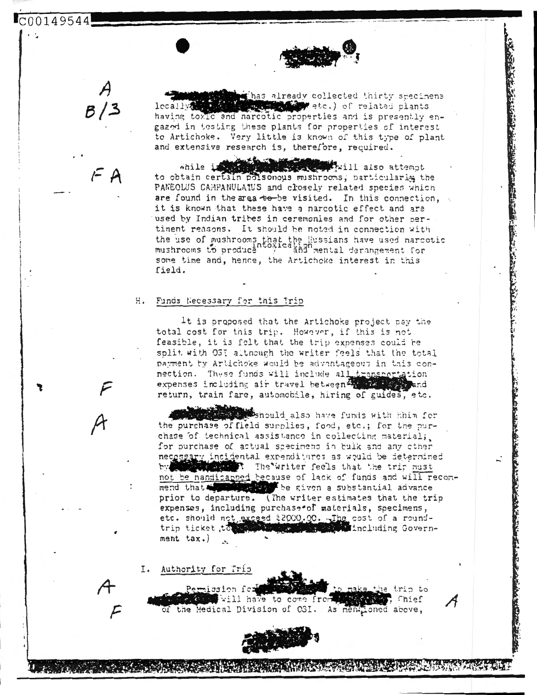C00149544

 $F$  A

that already collected thirty specimens etc.) of related plants lecallva having toxic and narcotic properties and is presently engazed in testing these plants for properties of interest to Artichoke. Very little is known of this type of plant and extensive research is, therefore, required.

「中国の大学の大学」

while is a series of the same will also attempt to obtain certain polsonous mushrooms; particularly the PANEOLUS CAMPANULATUS and closely related species which are found in the area to be visited. In this connection, it is known that these have a narcotic effect and are used by Indian tribes in ceremonies and for other pertinent reasons. It should be noted in connection with the use of mushrooms that the Russians have used narcotic mushrooms to produce  $\frac{1}{2}$  and mental derangement for some time and, hence, the Artichcke interest in this field.

## Funds Necessary for this Trip  $H_{\bullet}$

It is proposed that the Artichoke project pay the total cost for this trip. However, if this is not feasible, it is felt that the trip expenses could be split with OSI although the writer feels that the total payment by Artichoke would be advantageous in this connection. These funds will include all transcortation expenses including air travel between the 22 minutes return, train fare, automobile, hiring of guides, etc.

should also have funds with hhim for the purchase of field surplies, food, etc.; for the purchase of technical assistance in collecting material; for purchase of actual specimens in bulk and any other necessary incluental expenditures as would be determined The writer feels that the trip nust bw not be handicapped because of lack of funds and will recombe given a substantial advance mend that prior to departure. (The writer estimates that the trip expenses, including purchase of materials, specimens, etc. should not exceed t2000.00. The cost of a round-**Margaret Ave. And Including Govern**trip ticket, te ment tax.)

I. Authority for Trip

Permission for trip to will have to come from Chief of the Medical Division of OSI. As mentioned above,



The contract of the contract of the contract of the contract of the contract of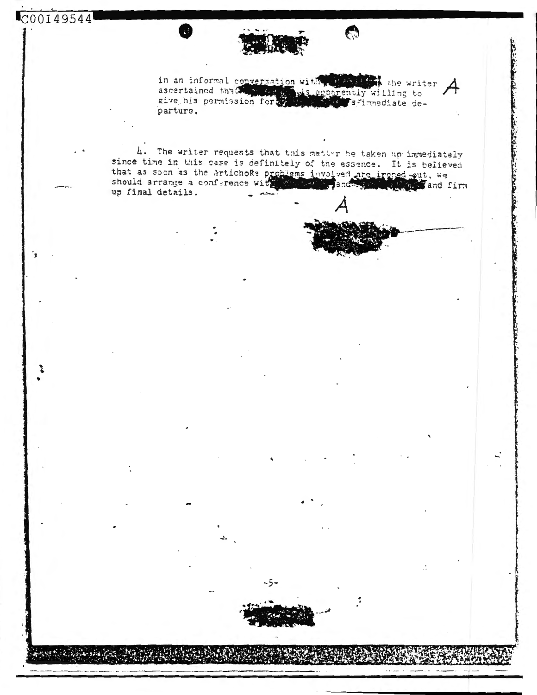Short is have it



in an informal conversation with the still the writer ascertained that will is apparently willing to give his permission for will apparently willing to parture.

 $\epsilon$ 

4. The writer requests that this matter he taken up immediately since time in this case is definitely of the essence. It is believed that as soon as the Artichoke problems involved are ironed out, we should arrange a conference with the state of and the state of and f same with and firm up final details.